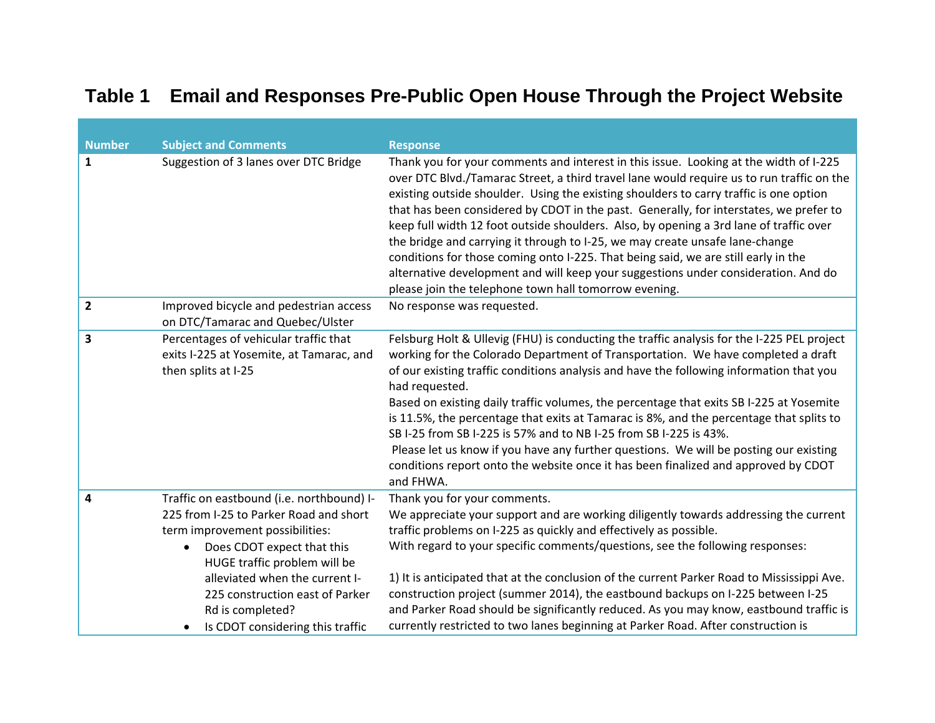## **Table 1 Email and Responses Pre-Public Open House Through the Project Website**

| <b>Number</b>  | <b>Subject and Comments</b>                                                                                                                                                                                                                                                                                                    | <b>Response</b>                                                                                                                                                                                                                                                                                                                                                                                                                                                                                                                                                                                                                                                                                                                                                                       |
|----------------|--------------------------------------------------------------------------------------------------------------------------------------------------------------------------------------------------------------------------------------------------------------------------------------------------------------------------------|---------------------------------------------------------------------------------------------------------------------------------------------------------------------------------------------------------------------------------------------------------------------------------------------------------------------------------------------------------------------------------------------------------------------------------------------------------------------------------------------------------------------------------------------------------------------------------------------------------------------------------------------------------------------------------------------------------------------------------------------------------------------------------------|
| 1              | Suggestion of 3 lanes over DTC Bridge                                                                                                                                                                                                                                                                                          | Thank you for your comments and interest in this issue. Looking at the width of I-225<br>over DTC Blvd./Tamarac Street, a third travel lane would require us to run traffic on the<br>existing outside shoulder. Using the existing shoulders to carry traffic is one option<br>that has been considered by CDOT in the past. Generally, for interstates, we prefer to<br>keep full width 12 foot outside shoulders. Also, by opening a 3rd lane of traffic over<br>the bridge and carrying it through to I-25, we may create unsafe lane-change<br>conditions for those coming onto I-225. That being said, we are still early in the<br>alternative development and will keep your suggestions under consideration. And do<br>please join the telephone town hall tomorrow evening. |
| $\overline{2}$ | Improved bicycle and pedestrian access<br>on DTC/Tamarac and Quebec/Ulster                                                                                                                                                                                                                                                     | No response was requested.                                                                                                                                                                                                                                                                                                                                                                                                                                                                                                                                                                                                                                                                                                                                                            |
| 3              | Percentages of vehicular traffic that<br>exits I-225 at Yosemite, at Tamarac, and<br>then splits at I-25                                                                                                                                                                                                                       | Felsburg Holt & Ullevig (FHU) is conducting the traffic analysis for the I-225 PEL project<br>working for the Colorado Department of Transportation. We have completed a draft<br>of our existing traffic conditions analysis and have the following information that you<br>had requested.<br>Based on existing daily traffic volumes, the percentage that exits SB I-225 at Yosemite<br>is 11.5%, the percentage that exits at Tamarac is 8%, and the percentage that splits to<br>SB I-25 from SB I-225 is 57% and to NB I-25 from SB I-225 is 43%.<br>Please let us know if you have any further questions. We will be posting our existing<br>conditions report onto the website once it has been finalized and approved by CDOT<br>and FHWA.                                    |
| 4              | Traffic on eastbound (i.e. northbound) I-<br>225 from I-25 to Parker Road and short<br>term improvement possibilities:<br>Does CDOT expect that this<br>$\bullet$<br>HUGE traffic problem will be<br>alleviated when the current I-<br>225 construction east of Parker<br>Rd is completed?<br>Is CDOT considering this traffic | Thank you for your comments.<br>We appreciate your support and are working diligently towards addressing the current<br>traffic problems on I-225 as quickly and effectively as possible.<br>With regard to your specific comments/questions, see the following responses:<br>1) It is anticipated that at the conclusion of the current Parker Road to Mississippi Ave.<br>construction project (summer 2014), the eastbound backups on I-225 between I-25<br>and Parker Road should be significantly reduced. As you may know, eastbound traffic is<br>currently restricted to two lanes beginning at Parker Road. After construction is                                                                                                                                            |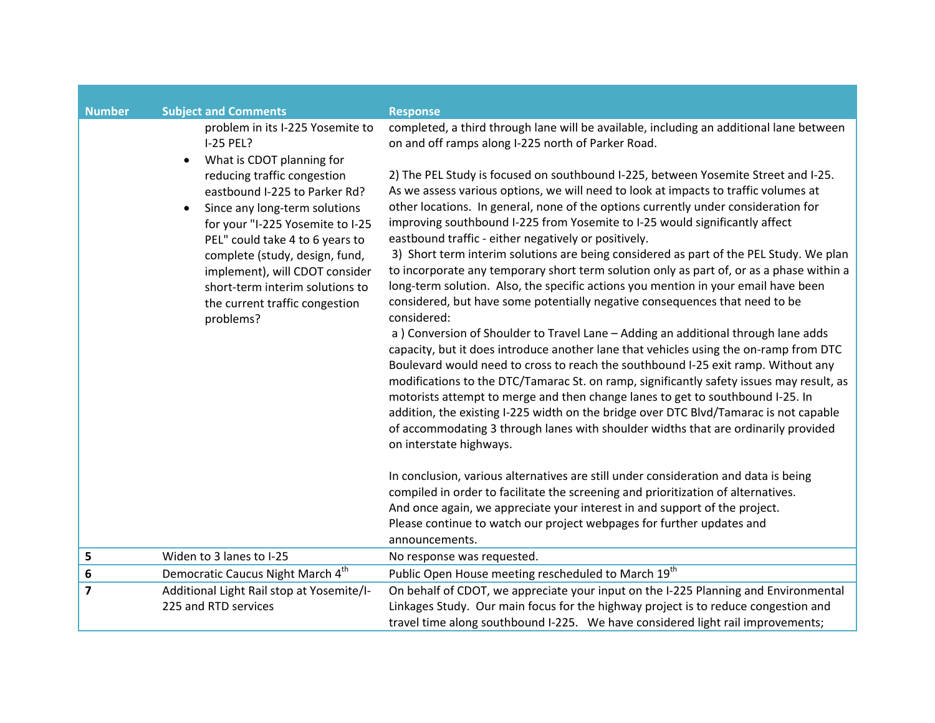| <b>Number</b>  | <b>Subject and Comments</b><br>problem in its I-225 Yosemite to<br>I-25 PEL?<br>What is CDOT planning for<br>reducing traffic congestion<br>eastbound I-225 to Parker Rd?<br>Since any long-term solutions<br>$\bullet$<br>for your "I-225 Yosemite to I-25<br>PEL" could take 4 to 6 years to<br>complete (study, design, fund,<br>implement), will CDOT consider<br>short-term interim solutions to<br>the current traffic congestion<br>problems? | <b>Response</b><br>completed, a third through lane will be available, including an additional lane between<br>on and off ramps along I-225 north of Parker Road.<br>2) The PEL Study is focused on southbound I-225, between Yosemite Street and I-25.<br>As we assess various options, we will need to look at impacts to traffic volumes at<br>other locations. In general, none of the options currently under consideration for<br>improving southbound I-225 from Yosemite to I-25 would significantly affect<br>eastbound traffic - either negatively or positively.<br>3) Short term interim solutions are being considered as part of the PEL Study. We plan<br>to incorporate any temporary short term solution only as part of, or as a phase within a<br>long-term solution. Also, the specific actions you mention in your email have been<br>considered, but have some potentially negative consequences that need to be<br>considered:<br>a) Conversion of Shoulder to Travel Lane - Adding an additional through lane adds<br>capacity, but it does introduce another lane that vehicles using the on-ramp from DTC<br>Boulevard would need to cross to reach the southbound I-25 exit ramp. Without any<br>modifications to the DTC/Tamarac St. on ramp, significantly safety issues may result, as<br>motorists attempt to merge and then change lanes to get to southbound I-25. In<br>addition, the existing I-225 width on the bridge over DTC Blvd/Tamarac is not capable<br>of accommodating 3 through lanes with shoulder widths that are ordinarily provided<br>on interstate highways.<br>In conclusion, various alternatives are still under consideration and data is being<br>compiled in order to facilitate the screening and prioritization of alternatives.<br>And once again, we appreciate your interest in and support of the project.<br>Please continue to watch our project webpages for further updates and<br>announcements. |
|----------------|------------------------------------------------------------------------------------------------------------------------------------------------------------------------------------------------------------------------------------------------------------------------------------------------------------------------------------------------------------------------------------------------------------------------------------------------------|----------------------------------------------------------------------------------------------------------------------------------------------------------------------------------------------------------------------------------------------------------------------------------------------------------------------------------------------------------------------------------------------------------------------------------------------------------------------------------------------------------------------------------------------------------------------------------------------------------------------------------------------------------------------------------------------------------------------------------------------------------------------------------------------------------------------------------------------------------------------------------------------------------------------------------------------------------------------------------------------------------------------------------------------------------------------------------------------------------------------------------------------------------------------------------------------------------------------------------------------------------------------------------------------------------------------------------------------------------------------------------------------------------------------------------------------------------------------------------------------------------------------------------------------------------------------------------------------------------------------------------------------------------------------------------------------------------------------------------------------------------------------------------------------------------------------------------------------------------------------------------------------------------------------------------------------------------------------|
| 5              | Widen to 3 lanes to I-25                                                                                                                                                                                                                                                                                                                                                                                                                             | No response was requested.                                                                                                                                                                                                                                                                                                                                                                                                                                                                                                                                                                                                                                                                                                                                                                                                                                                                                                                                                                                                                                                                                                                                                                                                                                                                                                                                                                                                                                                                                                                                                                                                                                                                                                                                                                                                                                                                                                                                           |
| 6              | Democratic Caucus Night March 4 <sup>th</sup>                                                                                                                                                                                                                                                                                                                                                                                                        | Public Open House meeting rescheduled to March 19th                                                                                                                                                                                                                                                                                                                                                                                                                                                                                                                                                                                                                                                                                                                                                                                                                                                                                                                                                                                                                                                                                                                                                                                                                                                                                                                                                                                                                                                                                                                                                                                                                                                                                                                                                                                                                                                                                                                  |
| $\overline{7}$ | Additional Light Rail stop at Yosemite/I-<br>225 and RTD services                                                                                                                                                                                                                                                                                                                                                                                    | On behalf of CDOT, we appreciate your input on the I-225 Planning and Environmental<br>Linkages Study. Our main focus for the highway project is to reduce congestion and<br>travel time along southbound I-225. We have considered light rail improvements;                                                                                                                                                                                                                                                                                                                                                                                                                                                                                                                                                                                                                                                                                                                                                                                                                                                                                                                                                                                                                                                                                                                                                                                                                                                                                                                                                                                                                                                                                                                                                                                                                                                                                                         |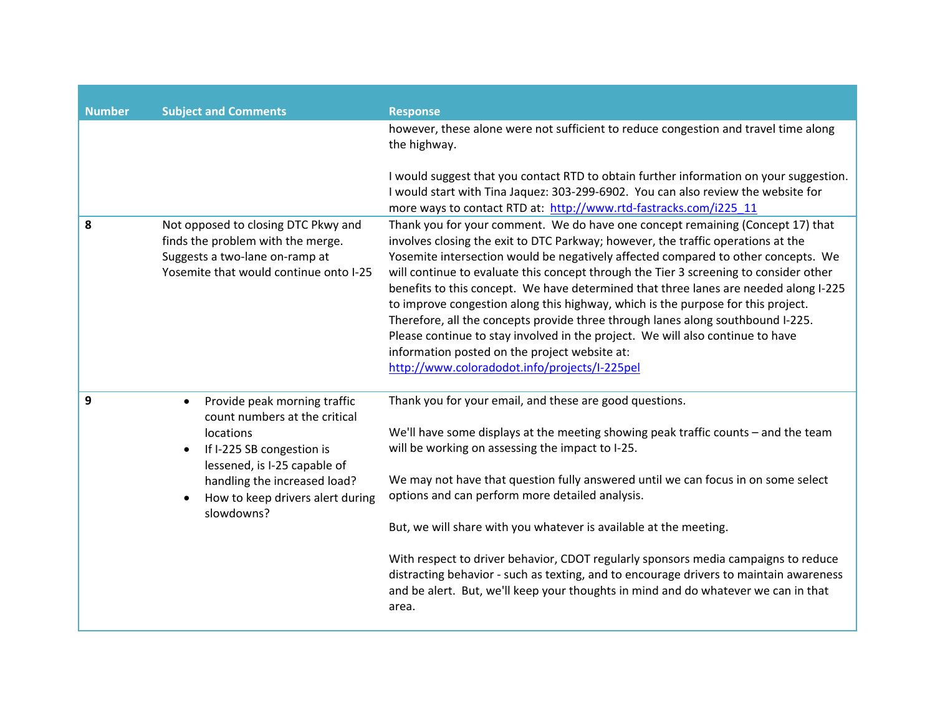| <b>Number</b> | <b>Subject and Comments</b>                                                                                                                                                                                                            | <b>Response</b>                                                                                                                                                                                                                                                                                                                                                                                                                                                                                                                                                                                                                                                                                                                                                                                     |
|---------------|----------------------------------------------------------------------------------------------------------------------------------------------------------------------------------------------------------------------------------------|-----------------------------------------------------------------------------------------------------------------------------------------------------------------------------------------------------------------------------------------------------------------------------------------------------------------------------------------------------------------------------------------------------------------------------------------------------------------------------------------------------------------------------------------------------------------------------------------------------------------------------------------------------------------------------------------------------------------------------------------------------------------------------------------------------|
|               |                                                                                                                                                                                                                                        | however, these alone were not sufficient to reduce congestion and travel time along<br>the highway.                                                                                                                                                                                                                                                                                                                                                                                                                                                                                                                                                                                                                                                                                                 |
|               |                                                                                                                                                                                                                                        | I would suggest that you contact RTD to obtain further information on your suggestion.<br>I would start with Tina Jaquez: 303-299-6902. You can also review the website for<br>more ways to contact RTD at: http://www.rtd-fastracks.com/i225 11                                                                                                                                                                                                                                                                                                                                                                                                                                                                                                                                                    |
| 8             | Not opposed to closing DTC Pkwy and<br>finds the problem with the merge.<br>Suggests a two-lane on-ramp at<br>Yosemite that would continue onto I-25                                                                                   | Thank you for your comment. We do have one concept remaining (Concept 17) that<br>involves closing the exit to DTC Parkway; however, the traffic operations at the<br>Yosemite intersection would be negatively affected compared to other concepts. We<br>will continue to evaluate this concept through the Tier 3 screening to consider other<br>benefits to this concept. We have determined that three lanes are needed along I-225<br>to improve congestion along this highway, which is the purpose for this project.<br>Therefore, all the concepts provide three through lanes along southbound I-225.<br>Please continue to stay involved in the project. We will also continue to have<br>information posted on the project website at:<br>http://www.coloradodot.info/projects/I-225pel |
| 9             | Provide peak morning traffic<br>$\bullet$<br>count numbers at the critical<br>locations<br>If I-225 SB congestion is<br>lessened, is I-25 capable of<br>handling the increased load?<br>How to keep drivers alert during<br>slowdowns? | Thank you for your email, and these are good questions.<br>We'll have some displays at the meeting showing peak traffic counts - and the team<br>will be working on assessing the impact to I-25.<br>We may not have that question fully answered until we can focus in on some select<br>options and can perform more detailed analysis.<br>But, we will share with you whatever is available at the meeting.<br>With respect to driver behavior, CDOT regularly sponsors media campaigns to reduce<br>distracting behavior - such as texting, and to encourage drivers to maintain awareness<br>and be alert. But, we'll keep your thoughts in mind and do whatever we can in that<br>area.                                                                                                       |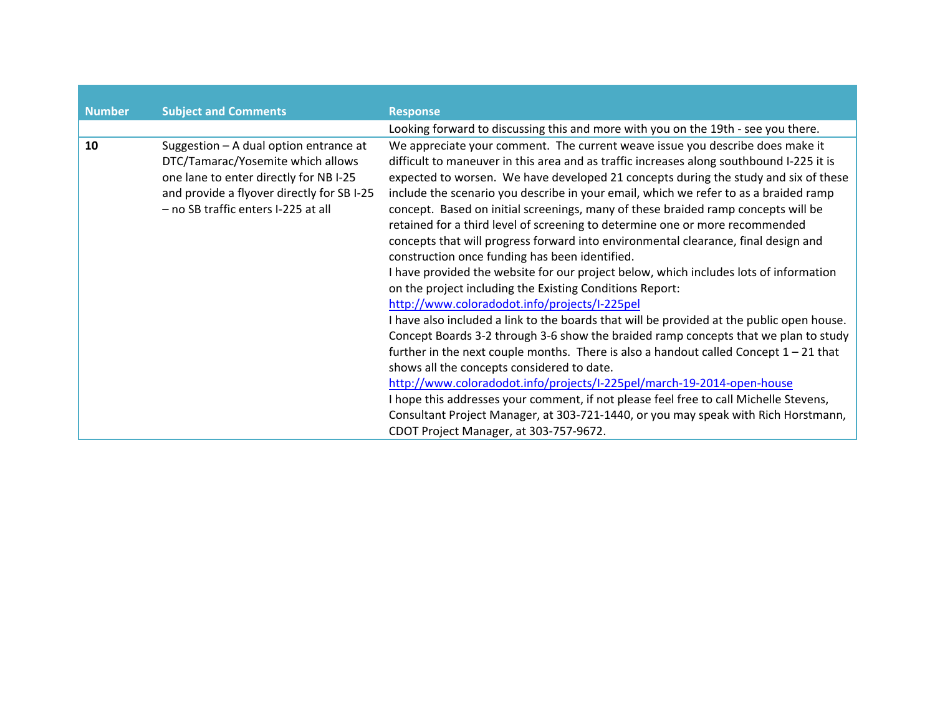| <b>Number</b> | <b>Subject and Comments</b>                                                                                                                                                                                | <b>Response</b>                                                                                                                                                                                                                                                                                                                                                                                                                                                                                                                                                                                                                                                                                                                                                                                                                                                                                                                                                                                                                                                                                                                                                                                                                                                                                                                                                                                                                                                                                             |
|---------------|------------------------------------------------------------------------------------------------------------------------------------------------------------------------------------------------------------|-------------------------------------------------------------------------------------------------------------------------------------------------------------------------------------------------------------------------------------------------------------------------------------------------------------------------------------------------------------------------------------------------------------------------------------------------------------------------------------------------------------------------------------------------------------------------------------------------------------------------------------------------------------------------------------------------------------------------------------------------------------------------------------------------------------------------------------------------------------------------------------------------------------------------------------------------------------------------------------------------------------------------------------------------------------------------------------------------------------------------------------------------------------------------------------------------------------------------------------------------------------------------------------------------------------------------------------------------------------------------------------------------------------------------------------------------------------------------------------------------------------|
|               |                                                                                                                                                                                                            | Looking forward to discussing this and more with you on the 19th - see you there.                                                                                                                                                                                                                                                                                                                                                                                                                                                                                                                                                                                                                                                                                                                                                                                                                                                                                                                                                                                                                                                                                                                                                                                                                                                                                                                                                                                                                           |
| 10            | Suggestion - A dual option entrance at<br>DTC/Tamarac/Yosemite which allows<br>one lane to enter directly for NB I-25<br>and provide a flyover directly for SB I-25<br>- no SB traffic enters I-225 at all | We appreciate your comment. The current weave issue you describe does make it<br>difficult to maneuver in this area and as traffic increases along southbound I-225 it is<br>expected to worsen. We have developed 21 concepts during the study and six of these<br>include the scenario you describe in your email, which we refer to as a braided ramp<br>concept. Based on initial screenings, many of these braided ramp concepts will be<br>retained for a third level of screening to determine one or more recommended<br>concepts that will progress forward into environmental clearance, final design and<br>construction once funding has been identified.<br>I have provided the website for our project below, which includes lots of information<br>on the project including the Existing Conditions Report:<br>http://www.coloradodot.info/projects/I-225pel<br>I have also included a link to the boards that will be provided at the public open house.<br>Concept Boards 3-2 through 3-6 show the braided ramp concepts that we plan to study<br>further in the next couple months. There is also a handout called Concept $1 - 21$ that<br>shows all the concepts considered to date.<br>http://www.coloradodot.info/projects/I-225pel/march-19-2014-open-house<br>I hope this addresses your comment, if not please feel free to call Michelle Stevens,<br>Consultant Project Manager, at 303-721-1440, or you may speak with Rich Horstmann,<br>CDOT Project Manager, at 303-757-9672. |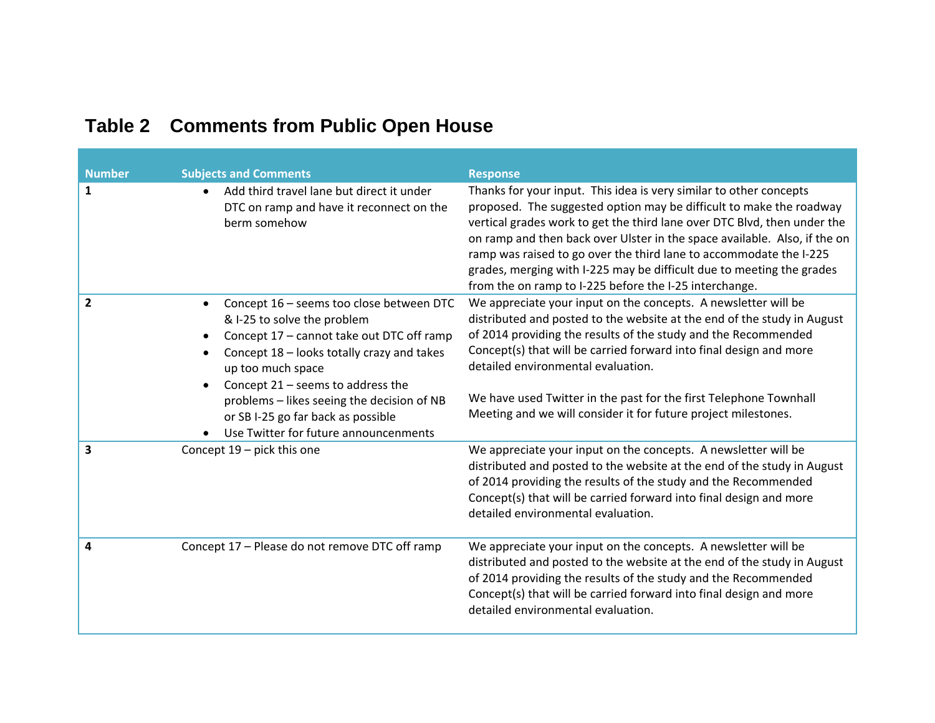| <b>Number</b>           | <b>Subjects and Comments</b>                                                                                                                                                                                                                                                                                                                                | <b>Response</b>                                                                                                                                                                                                                                                                                                                                                                                                                                                                                             |
|-------------------------|-------------------------------------------------------------------------------------------------------------------------------------------------------------------------------------------------------------------------------------------------------------------------------------------------------------------------------------------------------------|-------------------------------------------------------------------------------------------------------------------------------------------------------------------------------------------------------------------------------------------------------------------------------------------------------------------------------------------------------------------------------------------------------------------------------------------------------------------------------------------------------------|
| $\mathbf{1}$            | Add third travel lane but direct it under<br>$\bullet$<br>DTC on ramp and have it reconnect on the<br>berm somehow                                                                                                                                                                                                                                          | Thanks for your input. This idea is very similar to other concepts<br>proposed. The suggested option may be difficult to make the roadway<br>vertical grades work to get the third lane over DTC Blvd, then under the<br>on ramp and then back over Ulster in the space available. Also, if the on<br>ramp was raised to go over the third lane to accommodate the I-225<br>grades, merging with I-225 may be difficult due to meeting the grades<br>from the on ramp to I-225 before the I-25 interchange. |
| $\overline{2}$          | Concept 16 - seems too close between DTC<br>& I-25 to solve the problem<br>Concept 17 - cannot take out DTC off ramp<br>Concept 18 - looks totally crazy and takes<br>up too much space<br>Concept $21$ – seems to address the<br>problems - likes seeing the decision of NB<br>or SB I-25 go far back as possible<br>Use Twitter for future announcenments | We appreciate your input on the concepts. A newsletter will be<br>distributed and posted to the website at the end of the study in August<br>of 2014 providing the results of the study and the Recommended<br>Concept(s) that will be carried forward into final design and more<br>detailed environmental evaluation.<br>We have used Twitter in the past for the first Telephone Townhall<br>Meeting and we will consider it for future project milestones.                                              |
| $\overline{\mathbf{3}}$ | Concept $19$ – pick this one                                                                                                                                                                                                                                                                                                                                | We appreciate your input on the concepts. A newsletter will be<br>distributed and posted to the website at the end of the study in August<br>of 2014 providing the results of the study and the Recommended<br>Concept(s) that will be carried forward into final design and more<br>detailed environmental evaluation.                                                                                                                                                                                     |
| 4                       | Concept 17 - Please do not remove DTC off ramp                                                                                                                                                                                                                                                                                                              | We appreciate your input on the concepts. A newsletter will be<br>distributed and posted to the website at the end of the study in August<br>of 2014 providing the results of the study and the Recommended<br>Concept(s) that will be carried forward into final design and more<br>detailed environmental evaluation.                                                                                                                                                                                     |

## **Table 2 Comments from Public Open House**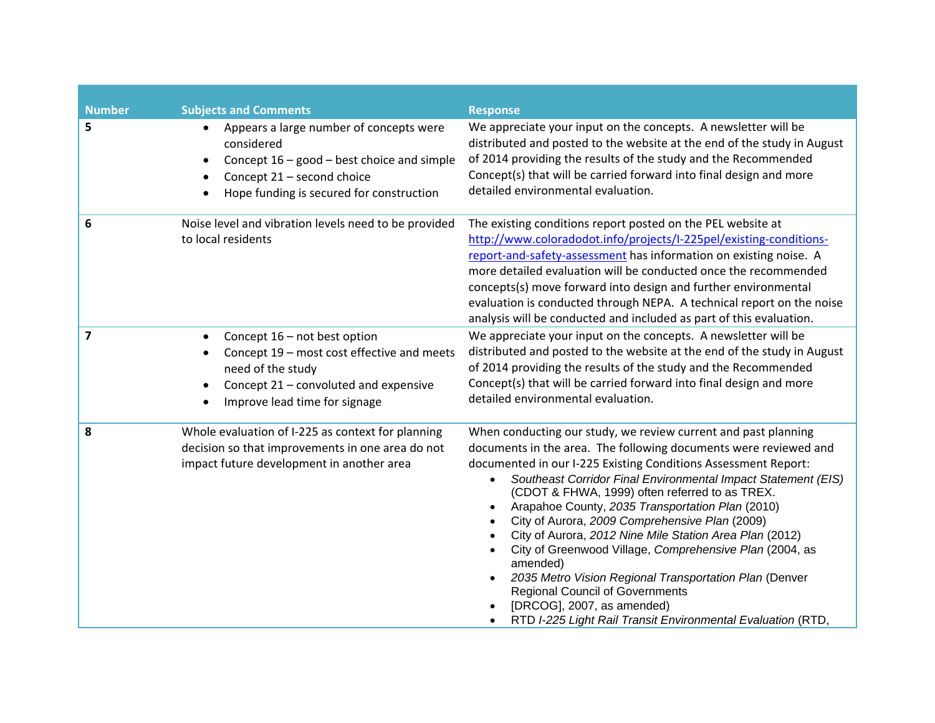| <b>Number</b>  | <b>Subjects and Comments</b>                                                                                                                                                                 | <b>Response</b>                                                                                                                                                                                                                                                                                                                                                                                                                                                                                                                                                                                                                                                                                                                                                  |
|----------------|----------------------------------------------------------------------------------------------------------------------------------------------------------------------------------------------|------------------------------------------------------------------------------------------------------------------------------------------------------------------------------------------------------------------------------------------------------------------------------------------------------------------------------------------------------------------------------------------------------------------------------------------------------------------------------------------------------------------------------------------------------------------------------------------------------------------------------------------------------------------------------------------------------------------------------------------------------------------|
| 5              | Appears a large number of concepts were<br>considered<br>Concept $16 - good - best choice$ and simple<br>$\bullet$<br>Concept 21 - second choice<br>Hope funding is secured for construction | We appreciate your input on the concepts. A newsletter will be<br>distributed and posted to the website at the end of the study in August<br>of 2014 providing the results of the study and the Recommended<br>Concept(s) that will be carried forward into final design and more<br>detailed environmental evaluation.                                                                                                                                                                                                                                                                                                                                                                                                                                          |
| 6              | Noise level and vibration levels need to be provided<br>to local residents                                                                                                                   | The existing conditions report posted on the PEL website at<br>http://www.coloradodot.info/projects/I-225pel/existing-conditions-<br>report-and-safety-assessment has information on existing noise. A<br>more detailed evaluation will be conducted once the recommended<br>concepts(s) move forward into design and further environmental<br>evaluation is conducted through NEPA. A technical report on the noise<br>analysis will be conducted and included as part of this evaluation.                                                                                                                                                                                                                                                                      |
| $\overline{7}$ | Concept 16 - not best option<br>Concept 19 - most cost effective and meets<br>need of the study<br>Concept 21 - convoluted and expensive<br>Improve lead time for signage                    | We appreciate your input on the concepts. A newsletter will be<br>distributed and posted to the website at the end of the study in August<br>of 2014 providing the results of the study and the Recommended<br>Concept(s) that will be carried forward into final design and more<br>detailed environmental evaluation.                                                                                                                                                                                                                                                                                                                                                                                                                                          |
| 8              | Whole evaluation of I-225 as context for planning<br>decision so that improvements in one area do not<br>impact future development in another area                                           | When conducting our study, we review current and past planning<br>documents in the area. The following documents were reviewed and<br>documented in our I-225 Existing Conditions Assessment Report:<br>Southeast Corridor Final Environmental Impact Statement (EIS)<br>(CDOT & FHWA, 1999) often referred to as TREX.<br>Arapahoe County, 2035 Transportation Plan (2010)<br>City of Aurora, 2009 Comprehensive Plan (2009)<br>City of Aurora, 2012 Nine Mile Station Area Plan (2012)<br>City of Greenwood Village, Comprehensive Plan (2004, as<br>amended)<br>2035 Metro Vision Regional Transportation Plan (Denver<br><b>Regional Council of Governments</b><br>[DRCOG], 2007, as amended)<br>RTD I-225 Light Rail Transit Environmental Evaluation (RTD, |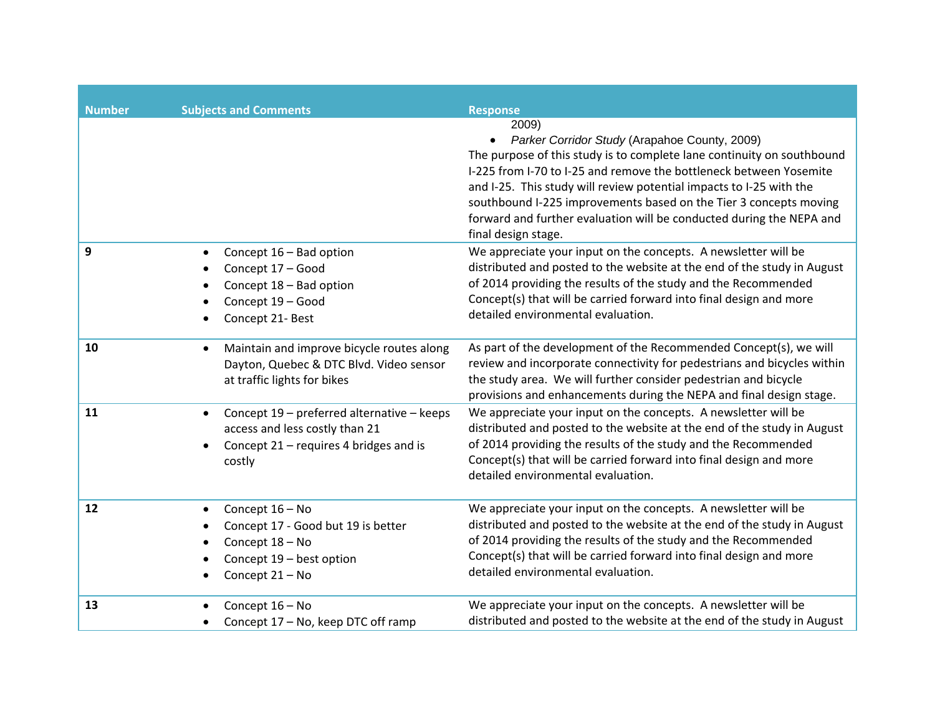| <b>Number</b> | <b>Subjects and Comments</b>                                                                                                         | <b>Response</b>                                                                                                                                                                                                                                                                                                                                                                                                                                   |
|---------------|--------------------------------------------------------------------------------------------------------------------------------------|---------------------------------------------------------------------------------------------------------------------------------------------------------------------------------------------------------------------------------------------------------------------------------------------------------------------------------------------------------------------------------------------------------------------------------------------------|
|               |                                                                                                                                      | 2009)<br>Parker Corridor Study (Arapahoe County, 2009)<br>The purpose of this study is to complete lane continuity on southbound<br>I-225 from I-70 to I-25 and remove the bottleneck between Yosemite<br>and I-25. This study will review potential impacts to I-25 with the<br>southbound I-225 improvements based on the Tier 3 concepts moving<br>forward and further evaluation will be conducted during the NEPA and<br>final design stage. |
| 9             | Concept 16 - Bad option<br>Concept 17 - Good<br>Concept 18 - Bad option<br>Concept 19 - Good<br>Concept 21- Best                     | We appreciate your input on the concepts. A newsletter will be<br>distributed and posted to the website at the end of the study in August<br>of 2014 providing the results of the study and the Recommended<br>Concept(s) that will be carried forward into final design and more<br>detailed environmental evaluation.                                                                                                                           |
| 10            | Maintain and improve bicycle routes along<br>$\bullet$<br>Dayton, Quebec & DTC Blvd. Video sensor<br>at traffic lights for bikes     | As part of the development of the Recommended Concept(s), we will<br>review and incorporate connectivity for pedestrians and bicycles within<br>the study area. We will further consider pedestrian and bicycle<br>provisions and enhancements during the NEPA and final design stage.                                                                                                                                                            |
| 11            | Concept 19 - preferred alternative - keeps<br>access and less costly than 21<br>Concept 21 – requires 4 bridges and is<br>costly     | We appreciate your input on the concepts. A newsletter will be<br>distributed and posted to the website at the end of the study in August<br>of 2014 providing the results of the study and the Recommended<br>Concept(s) that will be carried forward into final design and more<br>detailed environmental evaluation.                                                                                                                           |
| 12            | Concept 16 - No<br>$\bullet$<br>Concept 17 - Good but 19 is better<br>Concept 18 - No<br>Concept 19 - best option<br>Concept 21 - No | We appreciate your input on the concepts. A newsletter will be<br>distributed and posted to the website at the end of the study in August<br>of 2014 providing the results of the study and the Recommended<br>Concept(s) that will be carried forward into final design and more<br>detailed environmental evaluation.                                                                                                                           |
| 13            | Concept 16 - No<br>Concept 17 - No, keep DTC off ramp                                                                                | We appreciate your input on the concepts. A newsletter will be<br>distributed and posted to the website at the end of the study in August                                                                                                                                                                                                                                                                                                         |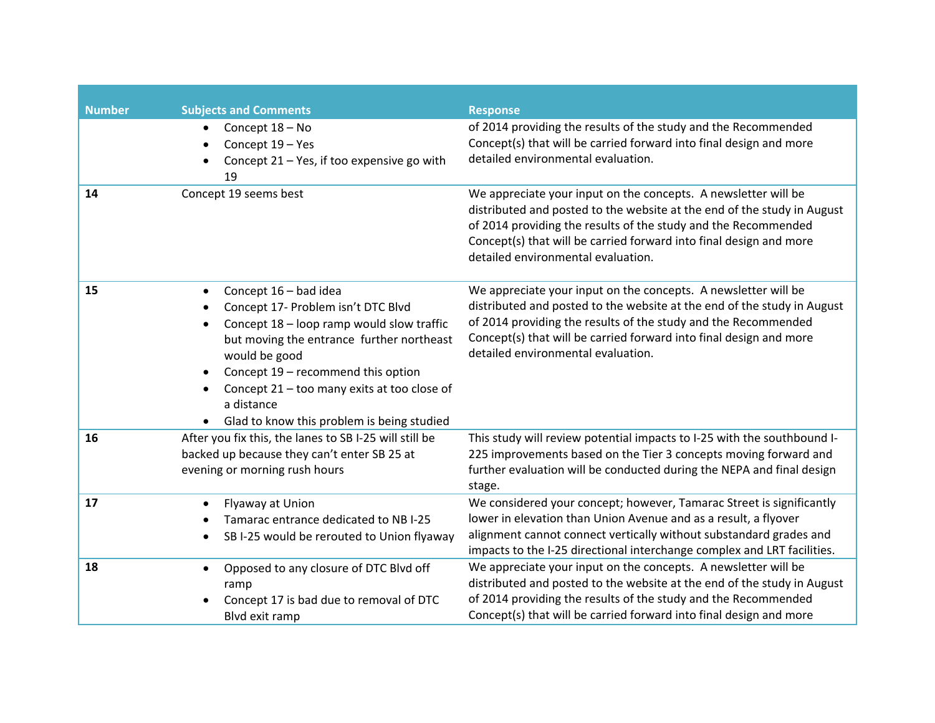| <b>Number</b> |           | <b>Subjects and Comments</b>                           | <b>Response</b>                                                                                          |
|---------------|-----------|--------------------------------------------------------|----------------------------------------------------------------------------------------------------------|
|               |           | Concept 18 - No                                        | of 2014 providing the results of the study and the Recommended                                           |
|               |           | Concept 19 - Yes                                       | Concept(s) that will be carried forward into final design and more                                       |
|               |           | Concept $21 - Yes$ , if too expensive go with          | detailed environmental evaluation.                                                                       |
|               |           | 19                                                     |                                                                                                          |
| 14            |           | Concept 19 seems best                                  | We appreciate your input on the concepts. A newsletter will be                                           |
|               |           |                                                        | distributed and posted to the website at the end of the study in August                                  |
|               |           |                                                        | of 2014 providing the results of the study and the Recommended                                           |
|               |           |                                                        | Concept(s) that will be carried forward into final design and more<br>detailed environmental evaluation. |
|               |           |                                                        |                                                                                                          |
| 15            | $\bullet$ | Concept 16 - bad idea                                  | We appreciate your input on the concepts. A newsletter will be                                           |
|               |           | Concept 17- Problem isn't DTC Blvd                     | distributed and posted to the website at the end of the study in August                                  |
|               |           | Concept 18 - loop ramp would slow traffic              | of 2014 providing the results of the study and the Recommended                                           |
|               |           | but moving the entrance further northeast              | Concept(s) that will be carried forward into final design and more                                       |
|               |           | would be good                                          | detailed environmental evaluation.                                                                       |
|               | $\bullet$ | Concept 19 - recommend this option                     |                                                                                                          |
|               |           | Concept 21 - too many exits at too close of            |                                                                                                          |
|               |           | a distance                                             |                                                                                                          |
|               |           | Glad to know this problem is being studied             |                                                                                                          |
| 16            |           | After you fix this, the lanes to SB I-25 will still be | This study will review potential impacts to I-25 with the southbound I-                                  |
|               |           | backed up because they can't enter SB 25 at            | 225 improvements based on the Tier 3 concepts moving forward and                                         |
|               |           | evening or morning rush hours                          | further evaluation will be conducted during the NEPA and final design                                    |
|               |           |                                                        | stage.                                                                                                   |
| 17            |           | Flyaway at Union                                       | We considered your concept; however, Tamarac Street is significantly                                     |
|               |           | Tamarac entrance dedicated to NB I-25                  | lower in elevation than Union Avenue and as a result, a flyover                                          |
|               | ٠         | SB I-25 would be rerouted to Union flyaway             | alignment cannot connect vertically without substandard grades and                                       |
|               |           |                                                        | impacts to the I-25 directional interchange complex and LRT facilities.                                  |
| 18            |           | Opposed to any closure of DTC Blvd off                 | We appreciate your input on the concepts. A newsletter will be                                           |
|               |           | ramp                                                   | distributed and posted to the website at the end of the study in August                                  |
|               |           | Concept 17 is bad due to removal of DTC                | of 2014 providing the results of the study and the Recommended                                           |
|               |           | Blvd exit ramp                                         | Concept(s) that will be carried forward into final design and more                                       |